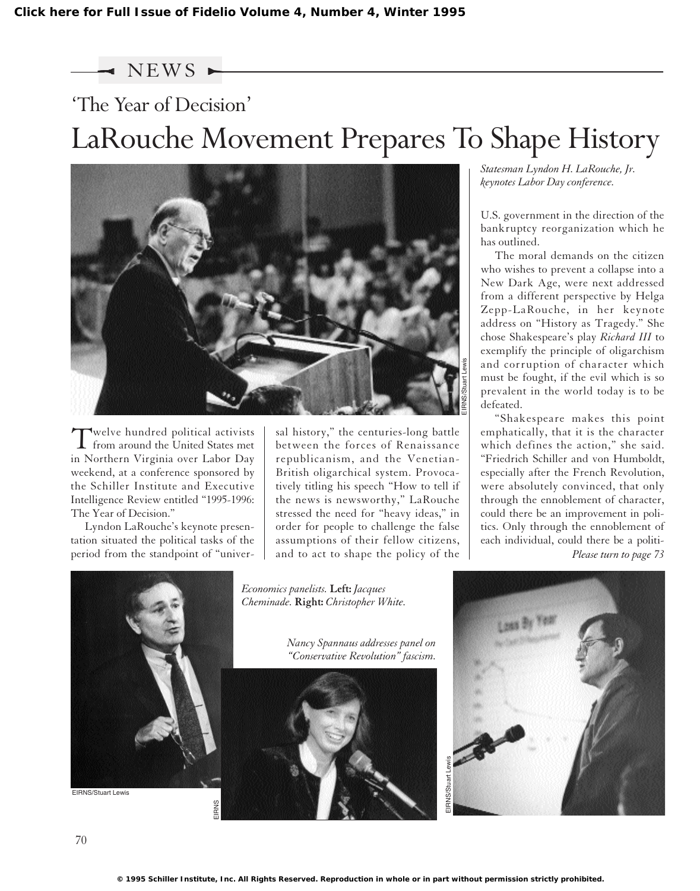### $\blacktriangleleft$  NEWS  $\blacktriangleright$

# 'The Year of Decision' LaRouche Movement Prepares To Shape History



Twelve hundred political activists from around the United States met in Northern Virginia over Labor Day weekend, at a conference sponsored by the Schiller Institute and Executive Intelligence Review entitled "1995-1996: The Year of Decision."

Lyndon LaRouche's keynote presentation situated the political tasks of the period from the standpoint of "universal history," the centuries-long battle between the forces of Renaissance republicanism, and the Venetian-British oligarchical system. Provocatively titling his speech "How to tell if the news is newsworthy," LaRouche stressed the need for "heavy ideas," in order for people to challenge the false assumptions of their fellow citizens, and to act to shape the policy of the

*Statesman Lyndon H. LaRouche, Jr. keynotes Labor Day conference.*

U.S. government in the direction of the bankruptcy reorganization which he has outlined.

The moral demands on the citizen who wishes to prevent a collapse into a New Dark Age, were next addressed from a different perspective by Helga Zepp-LaRouche, in her keynote address on "History as Tragedy." She chose Shakespeare's play *Richard III* to exemplify the principle of oligarchism and corruption of character which must be fought, if the evil which is so prevalent in the world today is to be defeated.

"Shakespeare makes this point emphatically, that it is the character which defines the action," she said. "Friedrich Schiller and von Humboldt, especially after the French Revolution, were absolutely convinced, that only through the ennoblement of character, could there be an improvement in politics. Only through the ennoblement of each individual, could there be a politi-*Please turn to page 73*



EIRNS

*Economics panelists.* **Left:** *Jacques Cheminade.* **Right:** *Christopher White.*

*Nancy Spannaus addresses panel on "Conservative Revolution" fascism.*